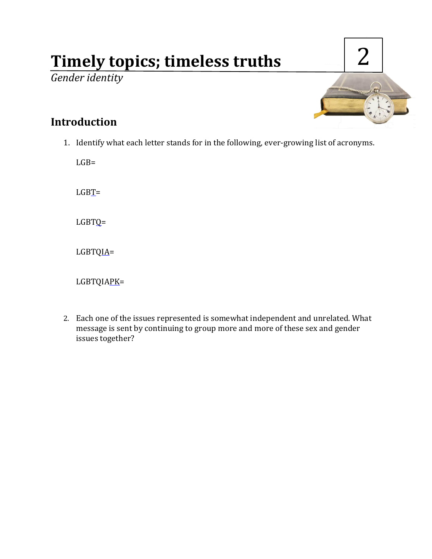# **Timely topics; timeless truths**

*Gender identity*



## **Introduction**

1. Identify what each letter stands for in the following, ever-growing list of acronyms.

 $LGB=$ 

 $LGBT=$ 

LGBTQ=

LGBTQIA=

LGBTQIAPK=

2. Each one of the issues represented is somewhat independent and unrelated. What message is sent by continuing to group more and more of these sex and gender issues together?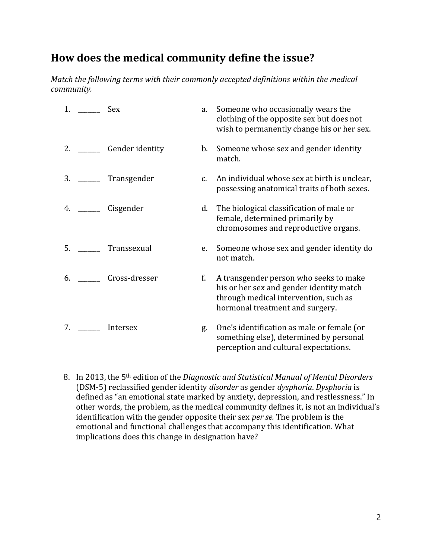# **How does the medical community define the issue?**

*Match the following terms with their commonly accepted definitions within the medical community.*

| 1. | Sex             | a.      | Someone who occasionally wears the<br>clothing of the opposite sex but does not<br>wish to permanently change his or her sex.                                  |
|----|-----------------|---------|----------------------------------------------------------------------------------------------------------------------------------------------------------------|
| 2. | Gender identity | b.      | Someone whose sex and gender identity<br>match.                                                                                                                |
| 3. | Transgender     | $C_{1}$ | An individual whose sex at birth is unclear,<br>possessing anatomical traits of both sexes.                                                                    |
| 4. | Cisgender       | d.      | The biological classification of male or<br>female, determined primarily by<br>chromosomes and reproductive organs.                                            |
| 5. | Transsexual     | e.      | Someone whose sex and gender identity do<br>not match.                                                                                                         |
| 6. | Cross-dresser   | f.      | A transgender person who seeks to make<br>his or her sex and gender identity match<br>through medical intervention, such as<br>hormonal treatment and surgery. |
| 7. | Intersex        | g.      | One's identification as male or female (or<br>something else), determined by personal<br>perception and cultural expectations.                                 |

8. In 2013, the 5th edition of the *Diagnostic and Statistical Manual of Mental Disorders*  (DSM-5) reclassified gender identity *disorder* as gender *dysphoria*. *Dysphoria* is defined as "an emotional state marked by anxiety, depression, and restlessness." In other words, the problem, as the medical community defines it, is not an individual's identification with the gender opposite their sex *per se.* The problem is the emotional and functional challenges that accompany this identification. What implications does this change in designation have?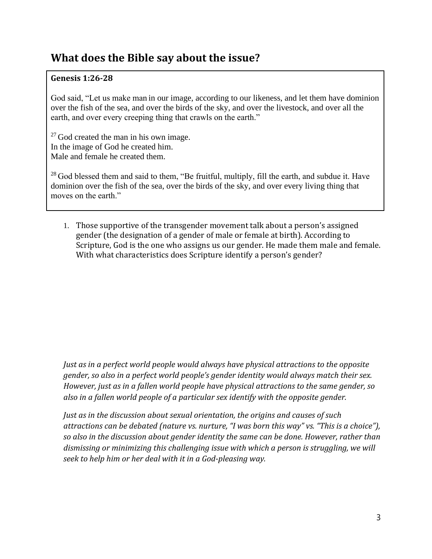# **What does the Bible say about the issue?**

#### **Genesis 1:26-28**

God said, "Let us make man in our image, according to our likeness, and let them have dominion over the fish of the sea, and over the birds of the sky, and over the livestock, and over all the earth, and over every creeping thing that crawls on the earth."

 $27$  God created the man in his own image. In the image of God he created him. Male and female he created them.

<sup>28</sup> God blessed them and said to them, "Be fruitful, multiply, fill the earth, and subdue it. Have dominion over the fish of the sea, over the birds of the sky, and over every living thing that moves on the earth."

1. Those supportive of the transgender movement talk about a person's assigned gender (the designation of a gender of male or female at birth). According to Scripture, God is the one who assigns us our gender. He made them male and female. With what characteristics does Scripture identify a person's gender?

*Just as in a perfect world people would always have physical attractions to the opposite gender, so also in a perfect world people's gender identity would always match their sex. However, just as in a fallen world people have physical attractions to the same gender, so also in a fallen world people of a particular sex identify with the opposite gender.*

*Just as in the discussion about sexual orientation, the origins and causes of such attractions can be debated (nature vs. nurture, "I was born this way" vs. "This is a choice"), so also in the discussion about gender identity the same can be done. However, rather than dismissing or minimizing this challenging issue with which a person is struggling, we will seek to help him or her deal with it in a God-pleasing way.*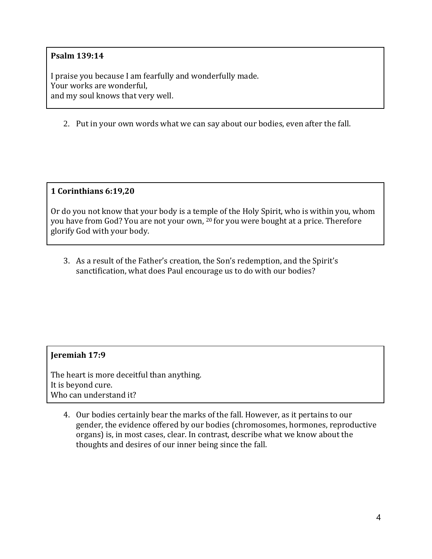#### **Psalm 139:14**

I praise you because I am fearfully and wonderfully made. Your works are wonderful, and my soul knows that very well.

2. Put in your own words what we can say about our bodies, even after the fall.

**1 Corinthians 6:19,20**

Or do you not know that your body is a temple of the Holy Spirit, who is within you, whom you have from God? You are not your own, <sup>20</sup> for you were bought at a price. Therefore glorify God with your body.

3. As a result of the Father's creation, the Son's redemption, and the Spirit's sanctification, what does Paul encourage us to do with our bodies?

#### **Jeremiah 17:9**

The heart is more deceitful than anything. It is beyond cure. Who can understand it?

4. Our bodies certainly bear the marks of the fall. However, as it pertains to our gender, the evidence offered by our bodies (chromosomes, hormones, reproductive organs) is, in most cases, clear. In contrast, describe what we know about the thoughts and desires of our inner being since the fall.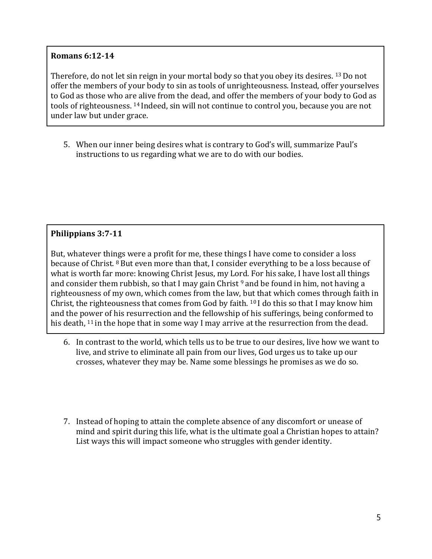#### **Romans 6:12-14**

Therefore, do not let sin reign in your mortal body so that you obey its desires. <sup>13</sup> Do not offer the members of your body to sin as tools of unrighteousness. Instead, offer yourselves to God as those who are alive from the dead, and offer the members of your body to God as tools of righteousness. <sup>14</sup> Indeed, sin will not continue to control you, because you are not under law but under grace.

5. When our inner being desires what is contrary to God's will, summarize Paul's instructions to us regarding what we are to do with our bodies.

#### **Philippians 3:7-11**

But, whatever things were a profit for me, these things I have come to consider a loss because of Christ. <sup>8</sup> But even more than that, I consider everything to be a loss because of what is worth far more: knowing Christ Jesus, my Lord. For his sake, I have lost all things and consider them rubbish, so that I may gain Christ  $9$  and be found in him, not having a righteousness of my own, which comes from the law, but that which comes through faith in Christ, the righteousness that comes from God by faith. <sup>10</sup> I do this so that I may know him and the power of his resurrection and the fellowship of his sufferings, being conformed to his death,  $11$  in the hope that in some way I may arrive at the resurrection from the dead.

- 6. In contrast to the world, which tells us to be true to our desires, live how we want to live, and strive to eliminate all pain from our lives, God urges us to take up our crosses, whatever they may be. Name some blessings he promises as we do so.
- 7. Instead of hoping to attain the complete absence of any discomfort or unease of mind and spirit during this life, what is the ultimate goal a Christian hopes to attain? List ways this will impact someone who struggles with gender identity.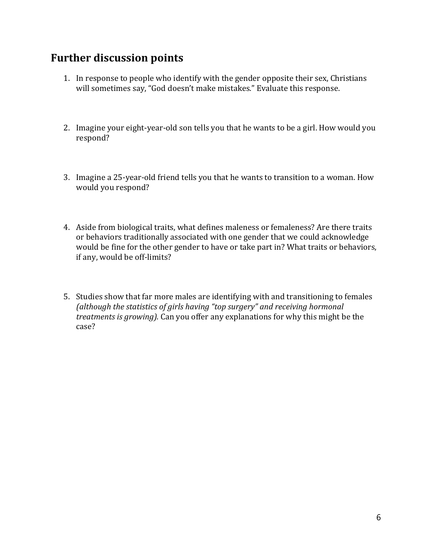## **Further discussion points**

- 1. In response to people who identify with the gender opposite their sex, Christians will sometimes say, "God doesn't make mistakes." Evaluate this response.
- 2. Imagine your eight-year-old son tells you that he wants to be a girl. How would you respond?
- 3. Imagine a 25-year-old friend tells you that he wants to transition to a woman. How would you respond?
- 4. Aside from biological traits, what defines maleness or femaleness? Are there traits or behaviors traditionally associated with one gender that we could acknowledge would be fine for the other gender to have or take part in? What traits or behaviors, if any, would be off-limits?
- 5. Studies show that far more males are identifying with and transitioning to females *(although the statistics of girls having "top surgery" and receiving hormonal treatments is growing).* Can you offer any explanations for why this might be the case?